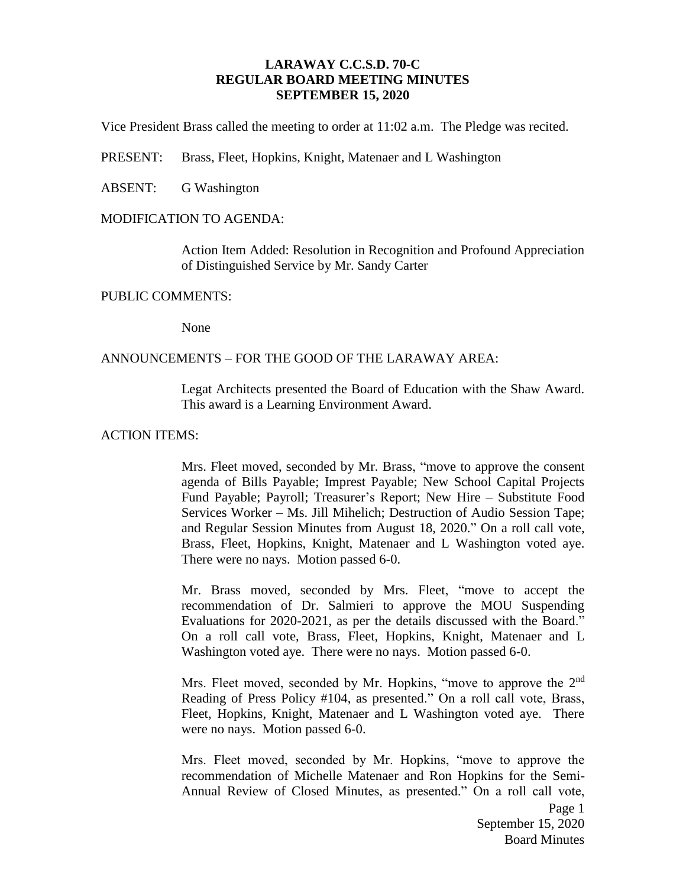# **LARAWAY C.C.S.D. 70-C REGULAR BOARD MEETING MINUTES SEPTEMBER 15, 2020**

Vice President Brass called the meeting to order at 11:02 a.m. The Pledge was recited.

PRESENT: Brass, Fleet, Hopkins, Knight, Matenaer and L Washington

ABSENT: G Washington

# MODIFICATION TO AGENDA:

Action Item Added: Resolution in Recognition and Profound Appreciation of Distinguished Service by Mr. Sandy Carter

## PUBLIC COMMENTS:

None

# ANNOUNCEMENTS – FOR THE GOOD OF THE LARAWAY AREA:

Legat Architects presented the Board of Education with the Shaw Award. This award is a Learning Environment Award.

## ACTION ITEMS:

Mrs. Fleet moved, seconded by Mr. Brass, "move to approve the consent agenda of Bills Payable; Imprest Payable; New School Capital Projects Fund Payable; Payroll; Treasurer's Report; New Hire – Substitute Food Services Worker – Ms. Jill Mihelich; Destruction of Audio Session Tape; and Regular Session Minutes from August 18, 2020." On a roll call vote, Brass, Fleet, Hopkins, Knight, Matenaer and L Washington voted aye. There were no nays. Motion passed 6-0.

Mr. Brass moved, seconded by Mrs. Fleet, "move to accept the recommendation of Dr. Salmieri to approve the MOU Suspending Evaluations for 2020-2021, as per the details discussed with the Board." On a roll call vote, Brass, Fleet, Hopkins, Knight, Matenaer and L Washington voted aye. There were no nays. Motion passed 6-0.

Mrs. Fleet moved, seconded by Mr. Hopkins, "move to approve the 2<sup>nd</sup> Reading of Press Policy #104, as presented." On a roll call vote, Brass, Fleet, Hopkins, Knight, Matenaer and L Washington voted aye. There were no nays. Motion passed 6-0.

Mrs. Fleet moved, seconded by Mr. Hopkins, "move to approve the recommendation of Michelle Matenaer and Ron Hopkins for the Semi-Annual Review of Closed Minutes, as presented." On a roll call vote,

> Page 1 September 15, 2020 Board Minutes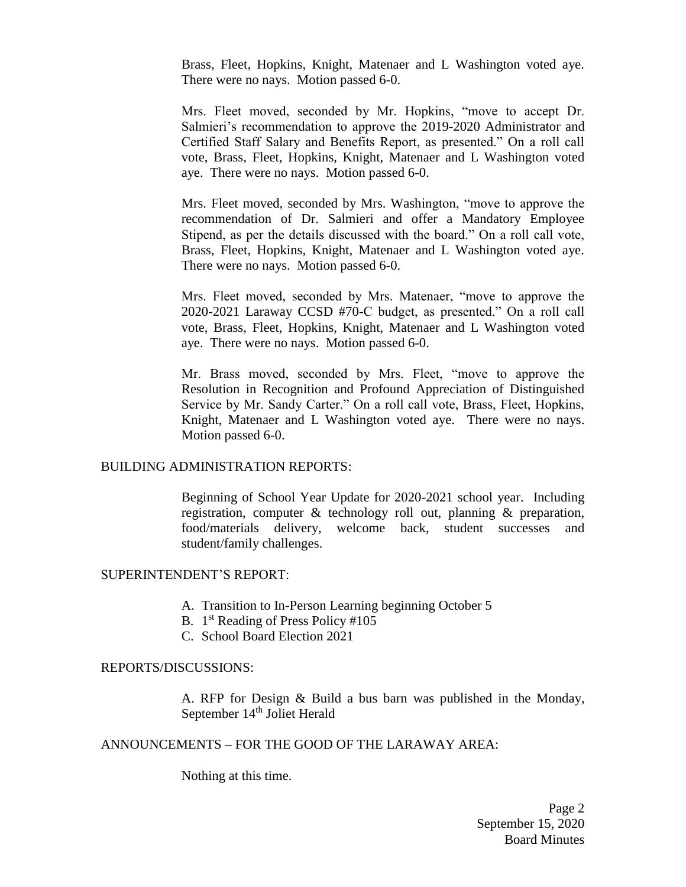Brass, Fleet, Hopkins, Knight, Matenaer and L Washington voted aye. There were no nays. Motion passed 6-0.

Mrs. Fleet moved, seconded by Mr. Hopkins, "move to accept Dr. Salmieri's recommendation to approve the 2019-2020 Administrator and Certified Staff Salary and Benefits Report, as presented." On a roll call vote, Brass, Fleet, Hopkins, Knight, Matenaer and L Washington voted aye. There were no nays. Motion passed 6-0.

Mrs. Fleet moved, seconded by Mrs. Washington, "move to approve the recommendation of Dr. Salmieri and offer a Mandatory Employee Stipend, as per the details discussed with the board." On a roll call vote, Brass, Fleet, Hopkins, Knight, Matenaer and L Washington voted aye. There were no nays. Motion passed 6-0.

Mrs. Fleet moved, seconded by Mrs. Matenaer, "move to approve the 2020-2021 Laraway CCSD #70-C budget, as presented." On a roll call vote, Brass, Fleet, Hopkins, Knight, Matenaer and L Washington voted aye. There were no nays. Motion passed 6-0.

Mr. Brass moved, seconded by Mrs. Fleet, "move to approve the Resolution in Recognition and Profound Appreciation of Distinguished Service by Mr. Sandy Carter." On a roll call vote, Brass, Fleet, Hopkins, Knight, Matenaer and L Washington voted aye. There were no nays. Motion passed 6-0.

#### BUILDING ADMINISTRATION REPORTS:

Beginning of School Year Update for 2020-2021 school year. Including registration, computer & technology roll out, planning & preparation, food/materials delivery, welcome back, student successes and student/family challenges.

#### SUPERINTENDENT'S REPORT:

- A. Transition to In-Person Learning beginning October 5
- B. 1<sup>st</sup> Reading of Press Policy #105
- C. School Board Election 2021

### REPORTS/DISCUSSIONS:

A. RFP for Design & Build a bus barn was published in the Monday, September 14<sup>th</sup> Joliet Herald

## ANNOUNCEMENTS – FOR THE GOOD OF THE LARAWAY AREA:

Nothing at this time.